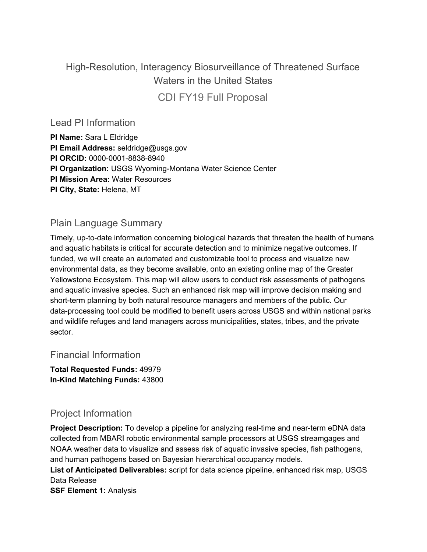## High-Resolution, Interagency Biosurveillance of Threatened Surface Waters in the United States CDI FY19 Full Proposal

Lead PI Information

**PI Name:** Sara L Eldridge **PI Email Address:** seldridge@usgs.gov **PI ORCID:** 0000-0001-8838-8940 **PI Organization:** USGS Wyoming-Montana Water Science Center **PI Mission Area:** Water Resources **PI City, State:** Helena, MT

## Plain Language Summary

Timely, up-to-date information concerning biological hazards that threaten the health of humans and aquatic habitats is critical for accurate detection and to minimize negative outcomes. If funded, we will create an automated and customizable tool to process and visualize new environmental data, as they become available, onto an existing online map of the Greater Yellowstone Ecosystem. This map will allow users to conduct risk assessments of pathogens and aquatic invasive species. Such an enhanced risk map will improve decision making and short-term planning by both natural resource managers and members of the public. Our data-processing tool could be modified to benefit users across USGS and within national parks and wildlife refuges and land managers across municipalities, states, tribes, and the private sector.

### Financial Information

**Total Requested Funds:** 49979 **In-Kind Matching Funds:** 43800

## Project Information

**Project Description:** To develop a pipeline for analyzing real-time and near-term eDNA data collected from MBARI robotic environmental sample processors at USGS streamgages and NOAA weather data to visualize and assess risk of aquatic invasive species, fish pathogens, and human pathogens based on Bayesian hierarchical occupancy models.

**List of Anticipated Deliverables:** script for data science pipeline, enhanced risk map, USGS Data Release

**SSF Element 1:** Analysis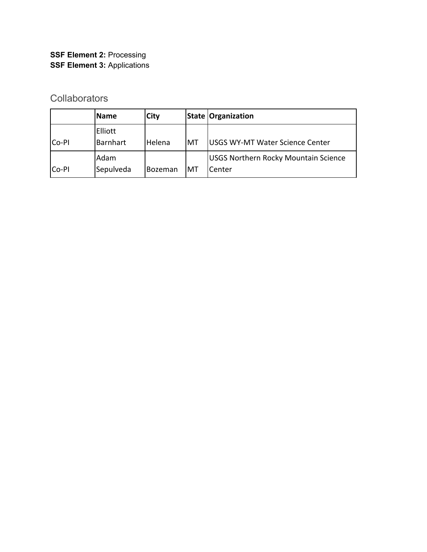## **SSF Element 2:** Processing **SSF Element 3:** Applications

## **Collaborators**

|              | <b>Name</b> | <b>City</b>    |    | <b>State Organization</b>                   |
|--------------|-------------|----------------|----|---------------------------------------------|
|              | Elliott     |                |    |                                             |
| <b>Co-PI</b> | Barnhart    | Helena         | MT | USGS WY-MT Water Science Center             |
|              | Adam        |                |    | <b>USGS Northern Rocky Mountain Science</b> |
| Co-PI        | Sepulveda   | <b>Bozeman</b> | MT | Center                                      |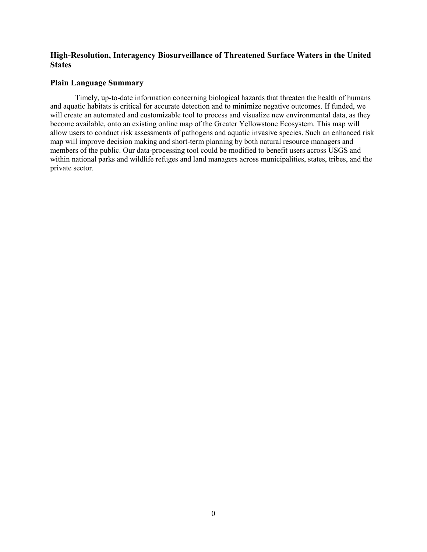#### **High-Resolution, Interagency Biosurveillance of Threatened Surface Waters in the United States**

#### **Plain Language Summary**

Timely, up-to-date information concerning biological hazards that threaten the health of humans and aquatic habitats is critical for accurate detection and to minimize negative outcomes. If funded, we will create an automated and customizable tool to process and visualize new environmental data, as they become available, onto an existing online map of the Greater Yellowstone Ecosystem. This map will allow users to conduct risk assessments of pathogens and aquatic invasive species. Such an enhanced risk map will improve decision making and short-term planning by both natural resource managers and members of the public. Our data-processing tool could be modified to benefit users across USGS and within national parks and wildlife refuges and land managers across municipalities, states, tribes, and the private sector.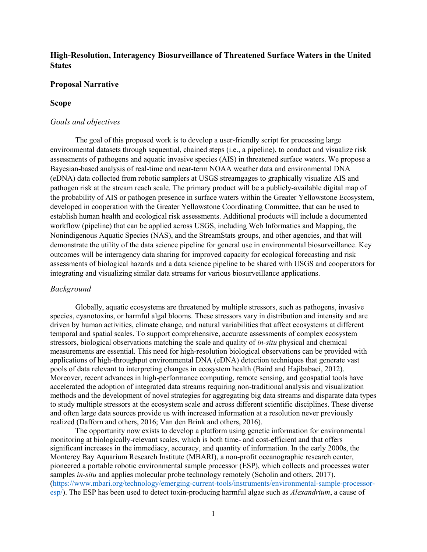#### **High-Resolution, Interagency Biosurveillance of Threatened Surface Waters in the United States**

#### **Proposal Narrative**

#### **Scope**

#### *Goals and objectives*

The goal of this proposed work is to develop a user-friendly script for processing large environmental datasets through sequential, chained steps (i.e., a pipeline), to conduct and visualize risk assessments of pathogens and aquatic invasive species (AIS) in threatened surface waters. We propose a Bayesian-based analysis of real-time and near-term NOAA weather data and environmental DNA (eDNA) data collected from robotic samplers at USGS streamgages to graphically visualize AIS and pathogen risk at the stream reach scale. The primary product will be a publicly-available digital map of the probability of AIS or pathogen presence in surface waters within the Greater Yellowstone Ecosystem, developed in cooperation with the Greater Yellowstone Coordinating Committee, that can be used to establish human health and ecological risk assessments. Additional products will include a documented workflow (pipeline) that can be applied across USGS, including Web Informatics and Mapping, the Nonindigenous Aquatic Species (NAS), and the StreamStats groups, and other agencies, and that will demonstrate the utility of the data science pipeline for general use in environmental biosurveillance. Key outcomes will be interagency data sharing for improved capacity for ecological forecasting and risk assessments of biological hazards and a data science pipeline to be shared with USGS and cooperators for integrating and visualizing similar data streams for various biosurveillance applications.

#### *Background*

Globally, aquatic ecosystems are threatened by multiple stressors, such as pathogens, invasive species, cyanotoxins, or harmful algal blooms. These stressors vary in distribution and intensity and are driven by human activities, climate change, and natural variabilities that affect ecosystems at different temporal and spatial scales. To support comprehensive, accurate assessments of complex ecosystem stressors, biological observations matching the scale and quality of *in-situ* physical and chemical measurements are essential. This need for high-resolution biological observations can be provided with applications of high-throughput environmental DNA (eDNA) detection techniques that generate vast pools of data relevant to interpreting changes in ecosystem health (Baird and Hajibabaei, 2012). Moreover, recent advances in high-performance computing, remote sensing, and geospatial tools have accelerated the adoption of integrated data streams requiring non-traditional analysis and visualization methods and the development of novel strategies for aggregating big data streams and disparate data types to study multiple stressors at the ecosystem scale and across different scientific disciplines. These diverse and often large data sources provide us with increased information at a resolution never previously realized (Dafforn and others, 2016; Van den Brink and others, 2016).

The opportunity now exists to develop a platform using genetic information for environmental monitoring at biologically-relevant scales, which is both time- and cost-efficient and that offers significant increases in the immediacy, accuracy, and quantity of information. In the early 2000s, the Monterey Bay Aquarium Research Institute (MBARI), a non-profit oceanographic research center, pioneered a portable robotic environmental sample processor (ESP), which collects and processes water samples *in-situ* and applies molecular probe technology remotely (Scholin and others, 2017). [\(https://www.mbari.org/technology/emerging-current-tools/instruments/environmental-sample-processor](https://www.mbari.org/technology/emerging-current-tools/instruments/environmental-sample-processor-esp/)[esp/\)](https://www.mbari.org/technology/emerging-current-tools/instruments/environmental-sample-processor-esp/). The ESP has been used to detect toxin-producing harmful algae such as *Alexandrium*, a cause of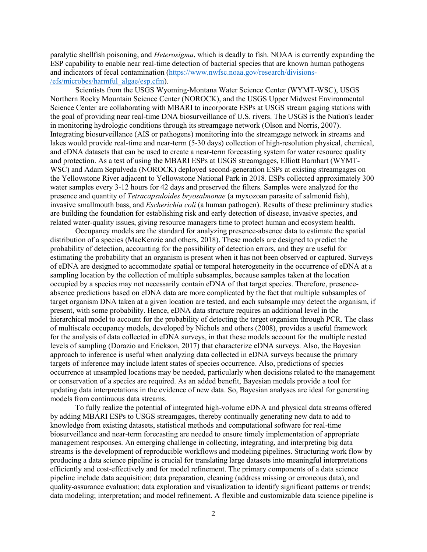paralytic shellfish poisoning, and *Heterosigma*, which is deadly to fish. NOAA is currently expanding the ESP capability to enable near real-time detection of bacterial species that are known human pathogens and indicators of fecal contamination (https://www.nwfsc.noaa.gov/research/divisions- /efs/microbes/harmful\_algae/esp.cfm).

Scientists from the USGS Wyoming-Montana Water Science Center (WYMT-WSC), USGS Northern Rocky Mountain Science Center (NOROCK), and the USGS Upper Midwest Environmental Science Center are collaborating with MBARI to incorporate ESPs at USGS stream gaging stations with the goal of providing near real-time DNA biosurveillance of U.S. rivers. The USGS is the Nation's leader in monitoring hydrologic conditions through its streamgage network (Olson and Norris, 2007). Integrating biosurveillance (AIS or pathogens) monitoring into the streamgage network in streams and lakes would provide real-time and near-term (5-30 days) collection of high-resolution physical, chemical, and eDNA datasets that can be used to create a near-term forecasting system for water resource quality and protection. As a test of using the MBARI ESPs at USGS streamgages, Elliott Barnhart (WYMT-WSC) and Adam Sepulveda (NOROCK) deployed second-generation ESPs at existing streamgages on the Yellowstone River adjacent to Yellowstone National Park in 2018. ESPs collected approximately 300 water samples every 3-12 hours for 42 days and preserved the filters. Samples were analyzed for the presence and quantity of *Tetracapsuloides bryosalmonae* (a myxozoan parasite of salmonid fish), invasive smallmouth bass, and *Escherichia coli* (a human pathogen). Results of these preliminary studies are building the foundation for establishing risk and early detection of disease, invasive species, and related water-quality issues, giving resource managers time to protect human and ecosystem health.

Occupancy models are the standard for analyzing presence-absence data to estimate the spatial distribution of a species (MacKenzie and others, 2018). These models are designed to predict the probability of detection, accounting for the possibility of detection errors, and they are useful for estimating the probability that an organism is present when it has not been observed or captured. Surveys of eDNA are designed to accommodate spatial or temporal heterogeneity in the occurrence of eDNA at a sampling location by the collection of multiple subsamples, because samples taken at the location occupied by a species may not necessarily contain eDNA of that target species. Therefore, presenceabsence predictions based on eDNA data are more complicated by the fact that multiple subsamples of target organism DNA taken at a given location are tested, and each subsample may detect the organism, if present, with some probability. Hence, eDNA data structure requires an additional level in the hierarchical model to account for the probability of detecting the target organism through PCR. The class of multiscale occupancy models, developed by Nichols and others (2008), provides a useful framework for the analysis of data collected in eDNA surveys, in that these models account for the multiple nested levels of sampling (Dorazio and Erickson, 2017) that characterize eDNA surveys. Also, the Bayesian approach to inference is useful when analyzing data collected in eDNA surveys because the primary targets of inference may include latent states of species occurrence. Also, predictions of species occurrence at unsampled locations may be needed, particularly when decisions related to the management or conservation of a species are required. As an added benefit, Bayesian models provide a tool for updating data interpretations in the evidence of new data. So, Bayesian analyses are ideal for generating models from continuous data streams.

To fully realize the potential of integrated high-volume eDNA and physical data streams offered by adding MBARI ESPs to USGS streamgages, thereby continually generating new data to add to knowledge from existing datasets, statistical methods and computational software for real-time biosurveillance and near-term forecasting are needed to ensure timely implementation of appropriate management responses. An emerging challenge in collecting, integrating, and interpreting big data streams is the development of reproducible workflows and modeling pipelines. Structuring work flow by producing a data science pipeline is crucial for translating large datasets into meaningful interpretations efficiently and cost-effectively and for model refinement. The primary components of a data science pipeline include data acquisition; data preparation, cleaning (address missing or erroneous data), and quality-assurance evaluation; data exploration and visualization to identify significant patterns or trends; data modeling; interpretation; and model refinement. A flexible and customizable data science pipeline is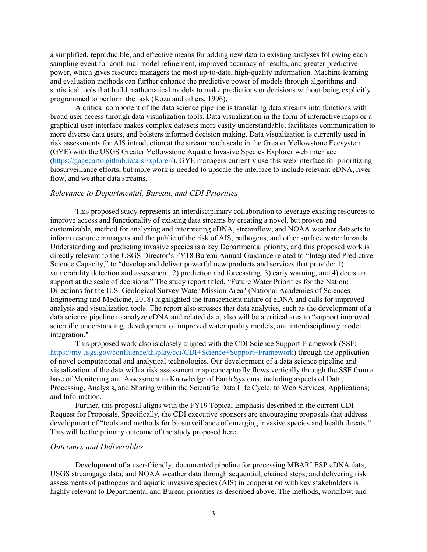a simplified, reproducible, and effective means for adding new data to existing analyses following each sampling event for continual model refinement, improved accuracy of results, and greater predictive power, which gives resource managers the most up-to-date, high-quality information. Machine learning and evaluation methods can further enhance the predictive power of models through algorithms and statistical tools that build mathematical models to make predictions or decisions without being explicitly programmed to perform the task (Koza and others, 1996).

A critical component of the data science pipeline is translating data streams into functions with broad user access through data visualization tools. Data visualization in the form of interactive maps or a graphical user interface makes complex datasets more easily understandable, facilitates communication to more diverse data users, and bolsters informed decision making. Data visualization is currently used in risk assessments for AIS introduction at the stream reach scale in the Greater Yellowstone Ecosystem (GYE) with the USGS Greater Yellowstone Aquatic Invasive Species Explorer web interface [\(https://gagecarto.github.io/aisExplorer/\)](https://gagecarto.github.io/aisExplorer/). GYE managers currently use this web interface for prioritizing biosurveillance efforts, but more work is needed to upscale the interface to include relevant eDNA, river flow, and weather data streams.

#### *Relevance to Departmental, Bureau, and CDI Priorities*

This proposed study represents an interdisciplinary collaboration to leverage existing resources to improve access and functionality of existing data streams by creating a novel, but proven and customizable, method for analyzing and interpreting eDNA, streamflow, and NOAA weather datasets to inform resource managers and the public of the risk of AIS, pathogens, and other surface water hazards. Understanding and predicting invasive species is a key Departmental priority, and this proposed work is directly relevant to the USGS Director's FY18 Bureau Annual Guidance related to "Integrated Predictive Science Capacity," to "develop and deliver powerful new products and services that provide: 1) vulnerability detection and assessment, 2) prediction and forecasting, 3) early warning, and 4) decision support at the scale of decisions." The study report titled, "Future Water Priorities for the Nation: Directions for the U.S. Geological Survey Water Mission Area" (National Academies of Sciences Engineering and Medicine, 2018) highlighted the transcendent nature of eDNA and calls for improved analysis and visualization tools. The report also stresses that data analytics, such as the development of a data science pipeline to analyze eDNA and related data, also will be a critical area to "support improved scientific understanding, development of improved water quality models, and interdisciplinary model integration."

This proposed work also is closely aligned with the CDI Science Support Framework (SSF; [https://my.usgs.gov/confluence/display/cdi/CDI+Science+Support+Framework\)](https://my.usgs.gov/confluence/display/cdi/CDI+Science+Support+Framework) through the application of novel computational and analytical technologies. Our development of a data science pipeline and visualization of the data with a risk assessment map conceptually flows vertically through the SSF from a base of Monitoring and Assessment to Knowledge of Earth Systems, including aspects of Data; Processing, Analysis, and Sharing within the Scientific Data Life Cycle; to Web Services; Applications; and Information.

Further, this proposal aligns with the FY19 Topical Emphasis described in the current CDI Request for Proposals. Specifically, the CDI executive sponsors are encouraging proposals that address development of "tools and methods for biosurveillance of emerging invasive species and health threats." This will be the primary outcome of the study proposed here.

#### *Outcomes and Deliverables*

Development of a user-friendly, documented pipeline for processing MBARI ESP eDNA data, USGS streamgage data, and NOAA weather data through sequential, chained steps, and delivering risk assessments of pathogens and aquatic invasive species (AIS) in cooperation with key stakeholders is highly relevant to Departmental and Bureau priorities as described above. The methods, workflow, and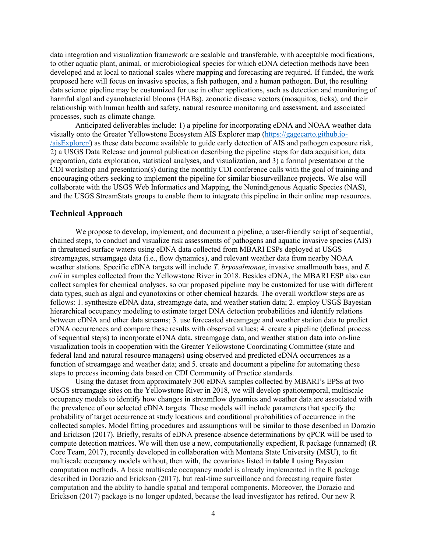data integration and visualization framework are scalable and transferable, with acceptable modifications, to other aquatic plant, animal, or microbiological species for which eDNA detection methods have been developed and at local to national scales where mapping and forecasting are required. If funded, the work proposed here will focus on invasive species, a fish pathogen, and a human pathogen. But, the resulting data science pipeline may be customized for use in other applications, such as detection and monitoring of harmful algal and cyanobacterial blooms (HABs), zoonotic disease vectors (mosquitos, ticks), and their relationship with human health and safety, natural resource monitoring and assessment, and associated processes, such as climate change.

Anticipated deliverables include: 1) a pipeline for incorporating eDNA and NOAA weather data visually onto the Greater Yellowstone Ecosystem AIS Explorer map (https://gagecarto.github.io- /aisExplorer/) as these data become available to guide early detection of AIS and pathogen exposure risk, 2) a USGS Data Release and journal publication describing the pipeline steps for data acquisition, data preparation, data exploration, statistical analyses, and visualization, and 3) a formal presentation at the CDI workshop and presentation(s) during the monthly CDI conference calls with the goal of training and encouraging others seeking to implement the pipeline for similar biosurveillance projects. We also will collaborate with the USGS Web Informatics and Mapping, the Nonindigenous Aquatic Species (NAS), and the USGS StreamStats groups to enable them to integrate this pipeline in their online map resources.

#### **Technical Approach**

We propose to develop, implement, and document a pipeline, a user-friendly script of sequential, chained steps, to conduct and visualize risk assessments of pathogens and aquatic invasive species (AIS) in threatened surface waters using eDNA data collected from MBARI ESPs deployed at USGS streamgages, streamgage data (i.e., flow dynamics), and relevant weather data from nearby NOAA weather stations. Specific eDNA targets will include *T. bryosalmonae*, invasive smallmouth bass, and *E. coli* in samples collected from the Yellowstone River in 2018. Besides eDNA, the MBARI ESP also can collect samples for chemical analyses, so our proposed pipeline may be customized for use with different data types, such as algal and cyanotoxins or other chemical hazards. The overall workflow steps are as follows: 1. synthesize eDNA data, streamgage data, and weather station data; 2. employ USGS Bayesian hierarchical occupancy modeling to estimate target DNA detection probabilities and identify relations between eDNA and other data streams; 3. use forecasted streamgage and weather station data to predict eDNA occurrences and compare these results with observed values; 4. create a pipeline (defined process of sequential steps) to incorporate eDNA data, streamgage data, and weather station data into on-line visualization tools in cooperation with the Greater Yellowstone Coordinating Committee (state and federal land and natural resource managers) using observed and predicted eDNA occurrences as a function of streamgage and weather data; and 5. create and document a pipeline for automating these steps to process incoming data based on CDI Community of Practice standards.

Using the dataset from approximately 300 eDNA samples collected by MBARI's EPSs at two USGS streamgage sites on the Yellowstone River in 2018, we will develop spatiotemporal, multiscale occupancy models to identify how changes in streamflow dynamics and weather data are associated with the prevalence of our selected eDNA targets. These models will include parameters that specify the probability of target occurrence at study locations and conditional probabilities of occurrence in the collected samples. Model fitting procedures and assumptions will be similar to those described in Dorazio and Erickson (2017). Briefly, results of eDNA presence-absence determinations by qPCR will be used to compute detection matrices. We will then use a new, computationally expedient, R package (unnamed) (R Core Team, 2017), recently developed in collaboration with Montana State University (MSU), to fit multiscale occupancy models without, then with, the covariates listed in **table 1** using Bayesian computation methods. A basic multiscale occupancy model is already implemented in the R package described in Dorazio and Erickson (2017), but real-time surveillance and forecasting require faster computation and the ability to handle spatial and temporal components. Moreover, the Dorazio and Erickson (2017) package is no longer updated, because the lead investigator has retired. Our new R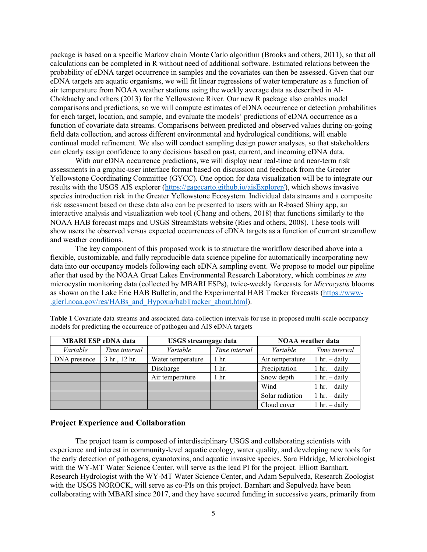package is based on a specific Markov chain Monte Carlo algorithm (Brooks and others, 2011), so that all calculations can be completed in R without need of additional software. Estimated relations between the probability of eDNA target occurrence in samples and the covariates can then be assessed. Given that our eDNA targets are aquatic organisms, we will fit linear regressions of water temperature as a function of air temperature from NOAA weather stations using the weekly average data as described in Al-Chokhachy and others (2013) for the Yellowstone River. Our new R package also enables model comparisons and predictions, so we will compute estimates of eDNA occurrence or detection probabilities for each target, location, and sample, and evaluate the models' predictions of eDNA occurrence as a function of covariate data streams. Comparisons between predicted and observed values during on-going field data collection, and across different environmental and hydrological conditions, will enable continual model refinement. We also will conduct sampling design power analyses, so that stakeholders can clearly assign confidence to any decisions based on past, current, and incoming eDNA data.

With our eDNA occurrence predictions, we will display near real-time and near-term risk assessments in a graphic-user interface format based on discussion and feedback from the Greater Yellowstone Coordinating Committee (GYCC). One option for data visualization will be to integrate our results with the USGS AIS explorer [\(https://gagecarto.github.io/aisExplorer/\)](https://gagecarto.github.io/aisExplorer/), which shows invasive species introduction risk in the Greater Yellowstone Ecosystem. Individual data streams and a composite risk assessment based on these data also can be presented to users with an R-based Shiny app, an interactive analysis and visualization web tool (Chang and others, 2018) that functions similarly to the NOAA HAB forecast maps and USGS StreamStats website (Ries and others, 2008). These tools will show users the observed versus expected occurrences of eDNA targets as a function of current streamflow and weather conditions.

The key component of this proposed work is to structure the workflow described above into a flexible, customizable, and fully reproducible data science pipeline for automatically incorporating new data into our occupancy models following each eDNA sampling event. We propose to model our pipeline after that used by the NOAA Great Lakes Environmental Research Laboratory, which combines *in situ* microcystin monitoring data (collected by MBARI ESPs), twice-weekly forecasts for *Microcystis* blooms as shown on the Lake Erie HAB Bulletin, and the Experimental HAB Tracker forecasts (https://www- .glerl.noaa.gov/res/HABs\_and\_Hypoxia/habTracker\_about.html).

| <b>MBARI ESP eDNA data</b> |               | <b>USGS</b> streamgage data |               | <b>NOAA</b> weather data |                                |
|----------------------------|---------------|-----------------------------|---------------|--------------------------|--------------------------------|
| Variable                   | Time interval | Variable                    | Time interval | Variable                 | Time interval                  |
| DNA presence               | 3 hr., 12 hr. | Water temperature           | 1 hr.         | Air temperature          | $1 \text{ hr.} - \text{daily}$ |
|                            |               | Discharge                   | 1 hr.         | Precipitation            | $1 \text{ hr.} - \text{daily}$ |
|                            |               | Air temperature             | 1 hr.         | Snow depth               | $1 \text{ hr.} - \text{daily}$ |
|                            |               |                             |               | Wind                     | $1 \text{ hr.} - \text{daily}$ |
|                            |               |                             |               | Solar radiation          | $1 \text{ hr.} - \text{daily}$ |
|                            |               |                             |               | Cloud cover              | $1 \text{ hr.} - \text{daily}$ |

**Table 1** Covariate data streams and associated data-collection intervals for use in proposed multi-scale occupancy models for predicting the occurrence of pathogen and AIS eDNA targets

#### **Project Experience and Collaboration**

The project team is composed of interdisciplinary USGS and collaborating scientists with experience and interest in community-level aquatic ecology, water quality, and developing new tools for the early detection of pathogens, cyanotoxins, and aquatic invasive species. Sara Eldridge, Microbiologist with the WY-MT Water Science Center, will serve as the lead PI for the project. Elliott Barnhart, Research Hydrologist with the WY-MT Water Science Center, and Adam Sepulveda, Research Zoologist with the USGS NOROCK, will serve as co-PIs on this project. Barnhart and Sepulveda have been collaborating with MBARI since 2017, and they have secured funding in successive years, primarily from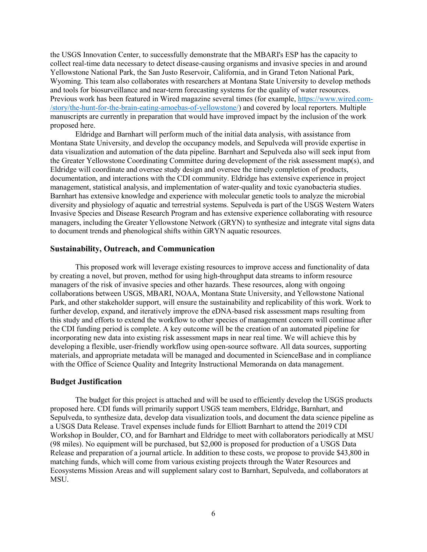the USGS Innovation Center, to successfully demonstrate that the MBARI's ESP has the capacity to collect real-time data necessary to detect disease-causing organisms and invasive species in and around Yellowstone National Park, the San Justo Reservoir, California, and in Grand Teton National Park, Wyoming. This team also collaborates with researchers at Montana State University to develop methods and tools for biosurveillance and near-term forecasting systems for the quality of water resources. Previous work has been featured in Wired magazine several times (for example, [https://www.wired.com-](https://www.wired.com-/story/the-hunt-for-the-brain-eating-amoebas-of-yellowstone/) [/story/the-hunt-for-the-brain-eating-amoebas-of-yellowstone/\)](https://www.wired.com-/story/the-hunt-for-the-brain-eating-amoebas-of-yellowstone/) and covered by local reporters. Multiple manuscripts are currently in preparation that would have improved impact by the inclusion of the work proposed here.

Eldridge and Barnhart will perform much of the initial data analysis, with assistance from Montana State University, and develop the occupancy models, and Sepulveda will provide expertise in data visualization and automation of the data pipeline. Barnhart and Sepulveda also will seek input from the Greater Yellowstone Coordinating Committee during development of the risk assessment map(s), and Eldridge will coordinate and oversee study design and oversee the timely completion of products, documentation, and interactions with the CDI community. Eldridge has extensive experience in project management, statistical analysis, and implementation of water-quality and toxic cyanobacteria studies. Barnhart has extensive knowledge and experience with molecular genetic tools to analyze the microbial diversity and physiology of aquatic and terrestrial systems. Sepulveda is part of the USGS Western Waters Invasive Species and Disease Research Program and has extensive experience collaborating with resource managers, including the Greater Yellowstone Network (GRYN) to synthesize and integrate vital signs data to document trends and phenological shifts within GRYN aquatic resources.

#### **Sustainability, Outreach, and Communication**

This proposed work will leverage existing resources to improve access and functionality of data by creating a novel, but proven, method for using high-throughput data streams to inform resource managers of the risk of invasive species and other hazards. These resources, along with ongoing collaborations between USGS, MBARI, NOAA, Montana State University, and Yellowstone National Park, and other stakeholder support, will ensure the sustainability and replicability of this work. Work to further develop, expand, and iteratively improve the eDNA-based risk assessment maps resulting from this study and efforts to extend the workflow to other species of management concern will continue after the CDI funding period is complete. A key outcome will be the creation of an automated pipeline for incorporating new data into existing risk assessment maps in near real time. We will achieve this by developing a flexible, user-friendly workflow using open-source software. All data sources, supporting materials, and appropriate metadata will be managed and documented in ScienceBase and in compliance with the Office of Science Quality and Integrity Instructional Memoranda on data management.

#### **Budget Justification**

The budget for this project is attached and will be used to efficiently develop the USGS products proposed here. CDI funds will primarily support USGS team members, Eldridge, Barnhart, and Sepulveda, to synthesize data, develop data visualization tools, and document the data science pipeline as a USGS Data Release. Travel expenses include funds for Elliott Barnhart to attend the 2019 CDI Workshop in Boulder, CO, and for Barnhart and Eldridge to meet with collaborators periodically at MSU (98 miles). No equipment will be purchased, but \$2,000 is proposed for production of a USGS Data Release and preparation of a journal article. In addition to these costs, we propose to provide \$43,800 in matching funds, which will come from various existing projects through the Water Resources and Ecosystems Mission Areas and will supplement salary cost to Barnhart, Sepulveda, and collaborators at MSU.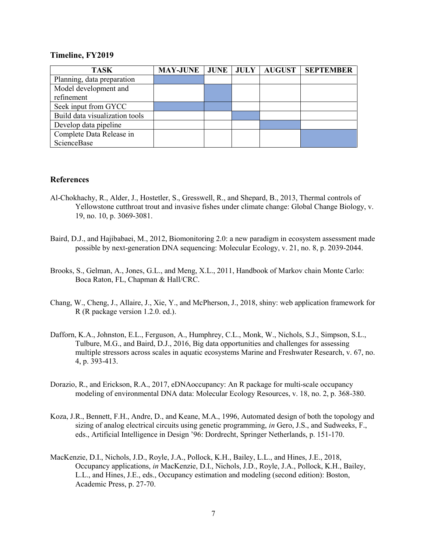#### **Timeline, FY2019**

| <b>TASK</b>                    | <b>MAY-JUNE   JUNE  </b> | <b>JULY</b> | <b>AUGUST</b> | <b>SEPTEMBER</b> |
|--------------------------------|--------------------------|-------------|---------------|------------------|
| Planning, data preparation     |                          |             |               |                  |
| Model development and          |                          |             |               |                  |
| refinement                     |                          |             |               |                  |
| Seek input from GYCC           |                          |             |               |                  |
| Build data visualization tools |                          |             |               |                  |
| Develop data pipeline          |                          |             |               |                  |
| Complete Data Release in       |                          |             |               |                  |
| ScienceBase                    |                          |             |               |                  |

#### **References**

- Al-Chokhachy, R., Alder, J., Hostetler, S., Gresswell, R., and Shepard, B., 2013, Thermal controls of Yellowstone cutthroat trout and invasive fishes under climate change: Global Change Biology, v. 19, no. 10, p. 3069-3081.
- Baird, D.J., and Hajibabaei, M., 2012, Biomonitoring 2.0: a new paradigm in ecosystem assessment made possible by next-generation DNA sequencing: Molecular Ecology, v. 21, no. 8, p. 2039-2044.
- Brooks, S., Gelman, A., Jones, G.L., and Meng, X.L., 2011, Handbook of Markov chain Monte Carlo: Boca Raton, FL, Chapman & Hall/CRC.
- Chang, W., Cheng, J., Allaire, J., Xie, Y., and McPherson, J., 2018, shiny: web application framework for R (R package version 1.2.0. ed.).
- Dafforn, K.A., Johnston, E.L., Ferguson, A., Humphrey, C.L., Monk, W., Nichols, S.J., Simpson, S.L., Tulbure, M.G., and Baird, D.J., 2016, Big data opportunities and challenges for assessing multiple stressors across scales in aquatic ecosystems Marine and Freshwater Research, v. 67, no. 4, p. 393-413.
- Dorazio, R., and Erickson, R.A., 2017, eDNAoccupancy: An R package for multi-scale occupancy modeling of environmental DNA data: Molecular Ecology Resources, v. 18, no. 2, p. 368-380.
- Koza, J.R., Bennett, F.H., Andre, D., and Keane, M.A., 1996, Automated design of both the topology and sizing of analog electrical circuits using genetic programming, *in* Gero, J.S., and Sudweeks, F., eds., Artificial Intelligence in Design '96: Dordrecht, Springer Netherlands, p. 151-170.
- MacKenzie, D.I., Nichols, J.D., Royle, J.A., Pollock, K.H., Bailey, L.L., and Hines, J.E., 2018, Occupancy applications, *in* MacKenzie, D.I., Nichols, J.D., Royle, J.A., Pollock, K.H., Bailey, L.L., and Hines, J.E., eds., Occupancy estimation and modeling (second edition): Boston, Academic Press, p. 27-70.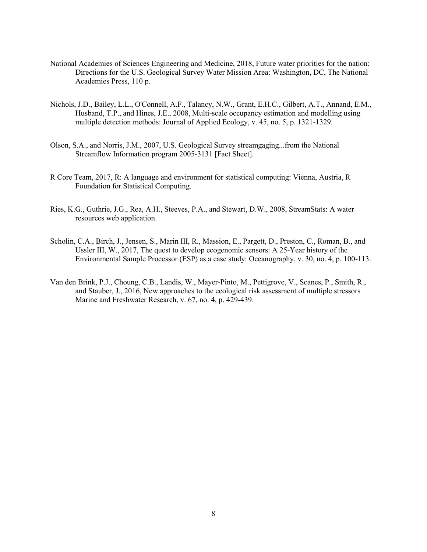- National Academies of Sciences Engineering and Medicine, 2018, Future water priorities for the nation: Directions for the U.S. Geological Survey Water Mission Area: Washington, DC, The National Academies Press, 110 p.
- Nichols, J.D., Bailey, L.L., O'Connell, A.F., Talancy, N.W., Grant, E.H.C., Gilbert, A.T., Annand, E.M., Husband, T.P., and Hines, J.E., 2008, Multi-scale occupancy estimation and modelling using multiple detection methods: Journal of Applied Ecology, v. 45, no. 5, p. 1321-1329.
- Olson, S.A., and Norris, J.M., 2007, U.S. Geological Survey streamgaging...from the National Streamflow Information program 2005-3131 [Fact Sheet].
- R Core Team, 2017, R: A language and environment for statistical computing: Vienna, Austria, R Foundation for Statistical Computing.
- Ries, K.G., Guthrie, J.G., Rea, A.H., Steeves, P.A., and Stewart, D.W., 2008, StreamStats: A water resources web application.
- Scholin, C.A., Birch, J., Jensen, S., Marin III, R., Massion, E., Pargett, D., Preston, C., Roman, B., and Ussler III, W., 2017, The quest to develop ecogenomic sensors: A 25-Year history of the Environmental Sample Processor (ESP) as a case study: Oceanography, v. 30, no. 4, p. 100-113.
- Van den Brink, P.J., Choung, C.B., Landis, W., Mayer-Pinto, M., Pettigrove, V., Scanes, P., Smith, R., and Stauber, J., 2016, New approaches to the ecological risk assessment of multiple stressors Marine and Freshwater Research, v. 67, no. 4, p. 429-439.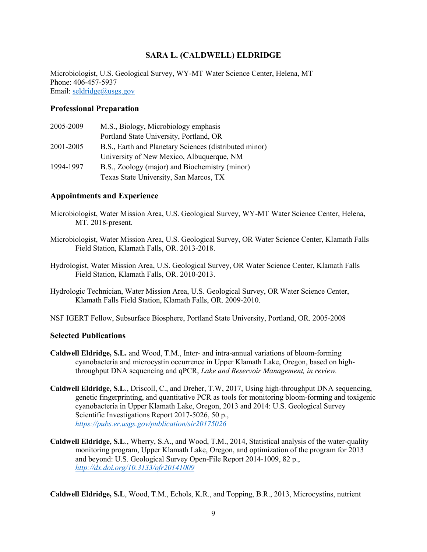#### **SARA L. (CALDWELL) ELDRIDGE**

Microbiologist, U.S. Geological Survey, WY-MT Water Science Center, Helena, MT Phone: 406-457-5937 Email: [seldridge@usgs.gov](mailto:seldridge@usgs.gov)

#### **Professional Preparation**

| 2005-2009 | M.S., Biology, Microbiology emphasis                   |
|-----------|--------------------------------------------------------|
|           | Portland State University, Portland, OR                |
| 2001-2005 | B.S., Earth and Planetary Sciences (distributed minor) |
|           | University of New Mexico, Albuquerque, NM              |
| 1994-1997 | B.S., Zoology (major) and Biochemistry (minor)         |
|           | Texas State University, San Marcos, TX                 |

#### **Appointments and Experience**

- Microbiologist, Water Mission Area, U.S. Geological Survey, WY-MT Water Science Center, Helena, MT. 2018-present.
- Microbiologist, Water Mission Area, U.S. Geological Survey, OR Water Science Center, Klamath Falls Field Station, Klamath Falls, OR. 2013-2018.
- Hydrologist, Water Mission Area, U.S. Geological Survey, OR Water Science Center, Klamath Falls Field Station, Klamath Falls, OR. 2010-2013.
- Hydrologic Technician, Water Mission Area, U.S. Geological Survey, OR Water Science Center, Klamath Falls Field Station, Klamath Falls, OR. 2009-2010.
- NSF IGERT Fellow, Subsurface Biosphere, Portland State University, Portland, OR. 2005-2008

#### **Selected Publications**

- **Caldwell Eldridge, S.L.** and Wood, T.M., Inter- and intra-annual variations of bloom-forming cyanobacteria and microcystin occurrence in Upper Klamath Lake, Oregon, based on highthroughput DNA sequencing and qPCR, *Lake and Reservoir Management, in review.*
- **Caldwell Eldridge, S.L**., Driscoll, C., and Dreher, T.W, 2017, Using high-throughput DNA sequencing, genetic fingerprinting, and quantitative PCR as tools for monitoring bloom-forming and toxigenic cyanobacteria in Upper Klamath Lake, Oregon, 2013 and 2014: U.S. Geological Survey Scientific Investigations Report 2017-5026, 50 p., *<https://pubs.er.usgs.gov/publication/sir20175026>*
- **Caldwell Eldridge, S.L**., Wherry, S.A., and Wood, T.M., 2014, Statistical analysis of the water-quality monitoring program, Upper Klamath Lake, Oregon, and optimization of the program for 2013 and beyond: U.S. Geological Survey Open-File Report 2014-1009, 82 p., *<http://dx.doi.org/10.3133/ofr20141009>*

**Caldwell Eldridge, S.L**, Wood, T.M., Echols, K.R., and Topping, B.R., 2013, Microcystins, nutrient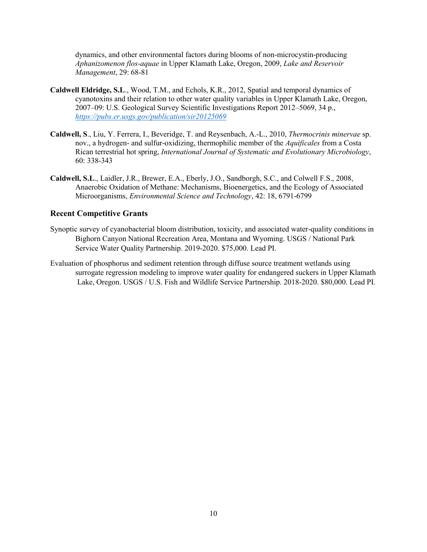dynamics, and other environmental factors during blooms of non-microcystin-producing *Aphanizomenon flos-aquae* in Upper Klamath Lake, Oregon, 2009, *Lake and Reservoir Management*, 29: 68-81

- **Caldwell Eldridge, S.L**., Wood, T.M., and Echols, K.R., 2012, Spatial and temporal dynamics of cyanotoxins and their relation to other water quality variables in Upper Klamath Lake, Oregon, 2007–09: U.S. Geological Survey Scientific Investigations Report 2012–5069, 34 p., *<https://pubs.er.usgs.gov/publication/sir20125069>*
- **Caldwell, S**., Liu, Y. Ferrera, I., Beveridge, T. and Reysenbach, A.-L., 2010, *Thermocrinis minervae* sp. nov., a hydrogen- and sulfur-oxidizing, thermophilic member of the *Aquificales* from a Costa Rican terrestrial hot spring, *International Journal of Systematic and Evolutionary Microbiology*, 60: 338-343
- **Caldwell, S.L**., Laidler, J.R., Brewer, E.A., Eberly, J.O., Sandborgh, S.C., and Colwell F.S., 2008, Anaerobic Oxidation of Methane: Mechanisms, Bioenergetics, and the Ecology of Associated Microorganisms, *Environmental Science and Technology*, 42: 18, 6791-6799

#### **Recent Competitive Grants**

- Synoptic survey of cyanobacterial bloom distribution, toxicity, and associated water-quality conditions in Bighorn Canyon National Recreation Area, Montana and Wyoming. USGS / National Park Service Water Quality Partnership. 2019-2020. \$75,000. Lead PI.
- Evaluation of phosphorus and sediment retention through diffuse source treatment wetlands using surrogate regression modeling to improve water quality for endangered suckers in Upper Klamath Lake, Oregon. USGS / U.S. Fish and Wildlife Service Partnership. 2018-2020. \$80,000. Lead PI.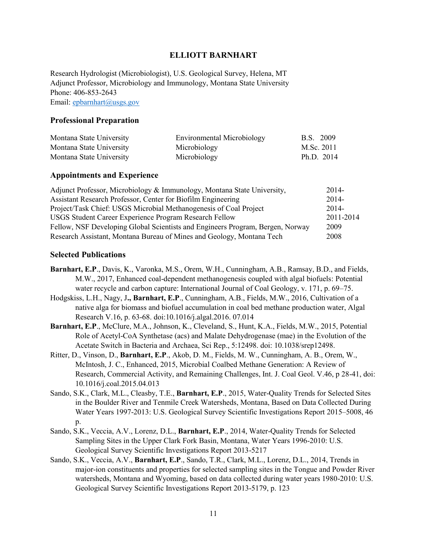#### **ELLIOTT BARNHART**

Research Hydrologist (Microbiologist), U.S. Geological Survey, Helena, MT Adjunct Professor, Microbiology and Immunology, Montana State University Phone: 406-853-2643 Email: [epbarnhart@usgs.gov](mailto:epbarnhart@usgs.gov)

#### **Professional Preparation**

| Montana State University | Environmental Microbiology | <b>B.S.</b> 2009 |
|--------------------------|----------------------------|------------------|
| Montana State University | Microbiology               | M.Sc. 2011       |
| Montana State University | Microbiology               | Ph.D. 2014       |

#### **Appointments and Experience**

| Adjunct Professor, Microbiology & Immunology, Montana State University,        | 2014-     |
|--------------------------------------------------------------------------------|-----------|
| Assistant Research Professor, Center for Biofilm Engineering                   | $2014-$   |
| Project/Task Chief: USGS Microbial Methanogenesis of Coal Project              | $2014-$   |
| USGS Student Career Experience Program Research Fellow                         | 2011-2014 |
| Fellow, NSF Developing Global Scientists and Engineers Program, Bergen, Norway | 2009      |
| Research Assistant, Montana Bureau of Mines and Geology, Montana Tech          | 2008      |

#### **Selected Publications**

- **Barnhart, E.P**., Davis, K., Varonka, M.S., Orem, W.H., Cunningham, A.B., Ramsay, B.D., and Fields, M.W., 2017, Enhanced coal-dependent methanogenesis coupled with algal biofuels: Potential water recycle and carbon capture: International Journal of Coal Geology, v. 171, p. 69–75.
- Hodgskiss, L.H., Nagy, J**., Barnhart, E.P**., Cunningham, A.B., Fields, M.W., 2016, Cultivation of a native alga for biomass and biofuel accumulation in coal bed methane production water, Algal Research V.16, p. 63-68. doi:10.1016/j.algal.2016. 07.014
- **Barnhart, E.P**., McClure, M.A., Johnson, K., Cleveland, S., Hunt, K.A., Fields, M.W., 2015, Potential Role of Acetyl-CoA Synthetase (acs) and Malate Dehydrogenase (mae) in the Evolution of the Acetate Switch in Bacteria and Archaea, Sci Rep., 5:12498. doi: 10.1038/srep12498.
- Ritter, D., Vinson, D., **Barnhart, E.P**., Akob, D. M., Fields, M. W., Cunningham, A. B., Orem, W., McIntosh, J. C., Enhanced, 2015, Microbial Coalbed Methane Generation: A Review of Research, Commercial Activity, and Remaining Challenges, Int. J. Coal Geol. V.46, p 28-41, doi: 10.1016/j.coal.2015.04.013
- Sando, S.K., Clark, M.L., Cleasby, T.E., **Barnhart, E.P**., 2015, Water-Quality Trends for Selected Sites in the Boulder River and Tenmile Creek Watersheds, Montana, Based on Data Collected During Water Years 1997-2013: U.S. Geological Survey Scientific Investigations Report 2015–5008, 46 p.
- Sando, S.K., Veccia, A.V., Lorenz, D.L., **Barnhart, E.P**., 2014, Water-Quality Trends for Selected Sampling Sites in the Upper Clark Fork Basin, Montana, Water Years 1996-2010: U.S. Geological Survey Scientific Investigations Report 2013-5217
- Sando, S.K., Veccia, A.V., **Barnhart, E.P**., Sando, T.R., Clark, M.L., Lorenz, D.L., 2014, Trends in major-ion constituents and properties for selected sampling sites in the Tongue and Powder River watersheds, Montana and Wyoming, based on data collected during water years 1980-2010: U.S. Geological Survey Scientific Investigations Report 2013-5179, p. 123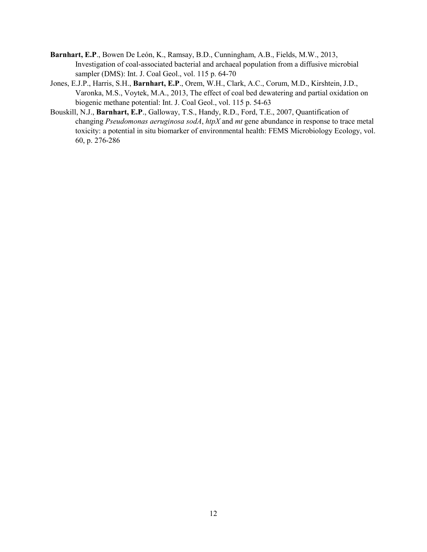- **Barnhart, E.P**., Bowen De León, K., Ramsay, B.D., Cunningham, A.B., Fields, M.W., 2013, Investigation of coal-associated bacterial and archaeal population from a diffusive microbial sampler (DMS): Int. J. Coal Geol., vol. 115 p. 64-70
- Jones, E.J.P., Harris, S.H., **Barnhart, E.P**., Orem, W.H., Clark, A.C., Corum, M.D., Kirshtein, J.D., Varonka, M.S., Voytek, M.A., 2013, The effect of coal bed dewatering and partial oxidation on biogenic methane potential: Int. J. Coal Geol., vol. 115 p. 54-63
- Bouskill, N.J., **Barnhart, E.P**., Galloway, T.S., Handy, R.D., Ford, T.E., 2007, Quantification of changing *Pseudomonas aeruginosa sodA*, *htpX* and *mt* gene abundance in response to trace metal toxicity: a potential in situ biomarker of environmental health: FEMS Microbiology Ecology, vol. 60, p. 276-286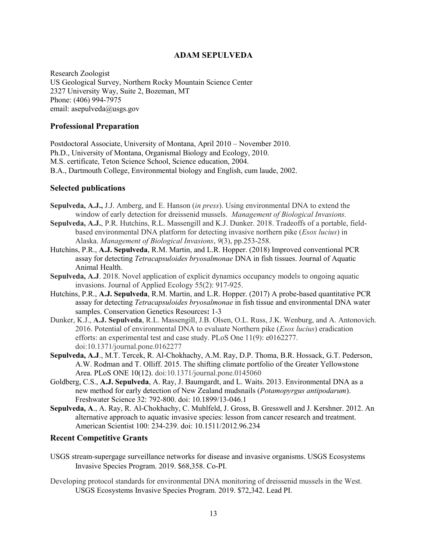#### **ADAM SEPULVEDA**

Research Zoologist US Geological Survey, Northern Rocky Mountain Science Center 2327 University Way, Suite 2, Bozeman, MT Phone: (406) 994-7975 email: asepulveda@usgs.gov

#### **Professional Preparation**

Postdoctoral Associate, University of Montana, April 2010 – November 2010. Ph.D., University of Montana, Organismal Biology and Ecology, 2010. M.S. certificate, Teton Science School, Science education, 2004. B.A., Dartmouth College, Environmental biology and English, cum laude, 2002.

#### **Selected publications**

- **Sepulveda, A.J.,** J.J. Amberg, and E. Hanson (*in press*). Using environmental DNA to extend the window of early detection for dreissenid mussels. *Management of Biological Invasions.*
- **Sepulveda, A.J.**, P.R. Hutchins, R.L. Massengill and K.J. Dunker. 2018. Tradeoffs of a portable, fieldbased environmental DNA platform for detecting invasive northern pike (*Esox lucius*) in Alaska. *Management of Biological Invasions*, *9*(3), pp.253-258.
- Hutchins, P.R., **A.J. Sepulveda**, R.M. Martin, and L.R. Hopper. (2018) Improved conventional PCR assay for detecting *Tetracapsuloides bryosalmonae* DNA in fish tissues. Journal of Aquatic Animal Health.
- **Sepulveda, A.J**. 2018. Novel application of explicit dynamics occupancy models to ongoing aquatic invasions. Journal of Applied Ecology 55(2): 917-925.
- Hutchins, P.R., **A.J. Sepulveda**, R.M. Martin, and L.R. Hopper. (2017) A probe-based quantitative PCR assay for detecting *Tetracapsuloides bryosalmonae* in fish tissue and environmental DNA water samples. Conservation Genetics Resources**:** 1-3
- Dunker, K.J., **A.J. Sepulveda**, R.L. Massengill, J.B. Olsen, O.L. Russ, J.K. Wenburg, and A. Antonovich. 2016. Potential of environmental DNA to evaluate Northern pike (*Esox lucius*) eradication efforts: an experimental test and case study. PLoS One 11(9): e0162277. doi:10.1371/journal.pone.0162277
- **Sepulveda, A.J**., M.T. Tercek, R. Al-Chokhachy, A.M. Ray, D.P. Thoma, B.R. Hossack, G.T. Pederson, A.W. Rodman and T. Olliff. 2015. The shifting climate portfolio of the Greater Yellowstone Area. PLoS ONE 10(12). doi:10.1371/journal.pone.0145060
- Goldberg, C.S., **A.J. Sepulveda**, A. Ray, J. Baumgardt, and L. Waits. 2013. Environmental DNA as a new method for early detection of New Zealand mudsnails (*Potamopyrgus antipodarum*). Freshwater Science 32: 792-800. doi: 10.1899/13-046.1
- **Sepulveda, A**., A. Ray, R. Al-Chokhachy, C. Muhlfeld, J. Gross, B. Gresswell and J. Kershner. 2012. An alternative approach to aquatic invasive species: lesson from cancer research and treatment. American Scientist 100: 234-239. doi: 10.1511/2012.96.234

#### **Recent Competitive Grants**

- USGS stream-supergage surveillance networks for disease and invasive organisms. USGS Ecosystems Invasive Species Program. 2019. \$68,358. Co-PI.
- Developing protocol standards for environmental DNA monitoring of dreissenid mussels in the West. USGS Ecosystems Invasive Species Program. 2019. \$72,342. Lead PI.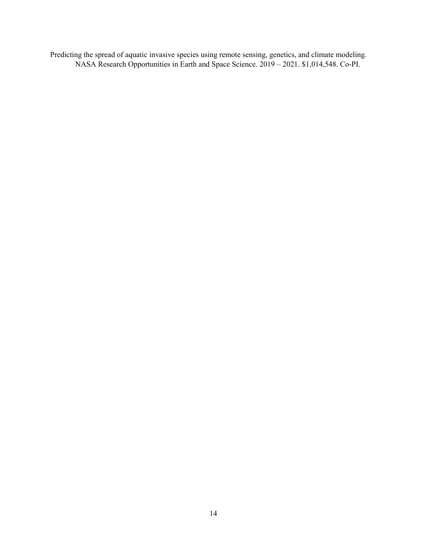Predicting the spread of aquatic invasive species using remote sensing, genetics, and climate modeling. NASA Research Opportunities in Earth and Space Science. 2019 – 2021. \$1,014,548. Co-PI.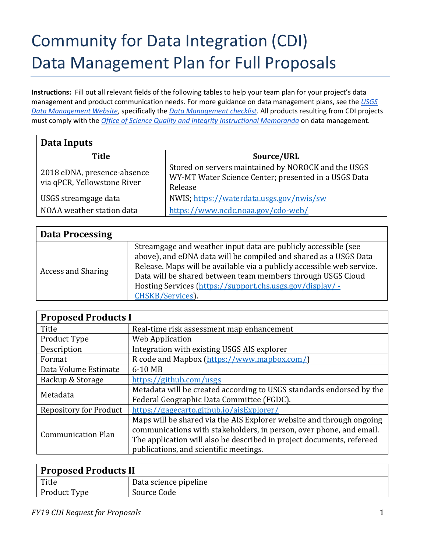# Community for Data Integration (CDI) Data Management Plan for Full Proposals

**Instructions:** Fill out all relevant fields of the following tables to help your team plan for your project's data management and product communication needs. For more guidance on data management plans, see the *[USGS](https://www.usgs.gov/products/data-and-tools/data-management/data-management-plans)  [Data Management Website](https://www.usgs.gov/products/data-and-tools/data-management/data-management-plans)*, specifically the *[Data Management checklist](https://prd-wret.s3-us-west-2.amazonaws.com/assets/palladium/production/s3fs-public/atoms/files/data-management-checklist.pdf)*. All products resulting from CDI projects must comply with the *[Office of Science Quality and Integrity Instructional Memoranda](https://www.usgs.gov/about/organization/science-support/survey-manual/instructional-memoranda)* on data management.

| Data Inputs                                                |                                                                                                                        |  |  |  |
|------------------------------------------------------------|------------------------------------------------------------------------------------------------------------------------|--|--|--|
| <b>Title</b>                                               | Source/URL                                                                                                             |  |  |  |
| 2018 eDNA, presence-absence<br>via qPCR, Yellowstone River | Stored on servers maintained by NOROCK and the USGS<br>WY-MT Water Science Center; presented in a USGS Data<br>Release |  |  |  |
| USGS streamgage data                                       | NWIS; https://waterdata.usgs.gov/nwis/sw                                                                               |  |  |  |
| NOAA weather station data                                  | https://www.ncdc.noaa.gov/cdo-web/                                                                                     |  |  |  |

| <b>Data Processing</b>    |                                                                                                                                                                                                                                                                                                                                                              |
|---------------------------|--------------------------------------------------------------------------------------------------------------------------------------------------------------------------------------------------------------------------------------------------------------------------------------------------------------------------------------------------------------|
| <b>Access and Sharing</b> | Streamgage and weather input data are publicly accessible (see<br>above), and eDNA data will be compiled and shared as a USGS Data<br>Release. Maps will be available via a publicly accessible web service.<br>Data will be shared between team members through USGS Cloud<br>Hosting Services (https://support.chs.usgs.gov/display/ -<br>CHSKB/Services). |

| <b>Proposed Products I</b>    |                                                                       |  |  |
|-------------------------------|-----------------------------------------------------------------------|--|--|
| Title                         | Real-time risk assessment map enhancement                             |  |  |
| Product Type                  | <b>Web Application</b>                                                |  |  |
| Description                   | Integration with existing USGS AIS explorer                           |  |  |
| Format                        | R code and Mapbox (https://www.mapbox.com/)                           |  |  |
| Data Volume Estimate          | 6-10 MB                                                               |  |  |
| Backup & Storage              | https://github.com/usgs                                               |  |  |
| Metadata                      | Metadata will be created according to USGS standards endorsed by the  |  |  |
|                               | Federal Geographic Data Committee (FGDC).                             |  |  |
| <b>Repository for Product</b> | https://gagecarto.github.io/aisExplorer/                              |  |  |
|                               | Maps will be shared via the AIS Explorer website and through ongoing  |  |  |
| <b>Communication Plan</b>     | communications with stakeholders, in person, over phone, and email.   |  |  |
|                               | The application will also be described in project documents, refereed |  |  |
|                               | publications, and scientific meetings.                                |  |  |

| Proposed Products II |                       |  |
|----------------------|-----------------------|--|
| Title                | Data science pipeline |  |
| Product Type         | Source Code           |  |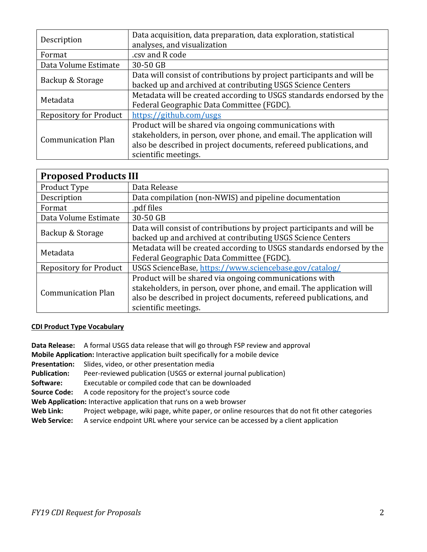| Description                   | Data acquisition, data preparation, data exploration, statistical<br>analyses, and visualization |  |
|-------------------------------|--------------------------------------------------------------------------------------------------|--|
| Format                        | .csv and R code                                                                                  |  |
| Data Volume Estimate          | 30-50 GB                                                                                         |  |
|                               | Data will consist of contributions by project participants and will be                           |  |
| Backup & Storage              | backed up and archived at contributing USGS Science Centers                                      |  |
| Metadata                      | Metadata will be created according to USGS standards endorsed by the                             |  |
|                               | Federal Geographic Data Committee (FGDC).                                                        |  |
| <b>Repository for Product</b> | https://github.com/usgs                                                                          |  |
|                               | Product will be shared via ongoing communications with                                           |  |
| <b>Communication Plan</b>     | stakeholders, in person, over phone, and email. The application will                             |  |
|                               | also be described in project documents, refereed publications, and                               |  |
|                               | scientific meetings.                                                                             |  |

| <b>Proposed Products III</b>  |                                                                        |  |  |
|-------------------------------|------------------------------------------------------------------------|--|--|
| Product Type                  | Data Release                                                           |  |  |
| Description                   | Data compilation (non-NWIS) and pipeline documentation                 |  |  |
| Format                        | .pdf files                                                             |  |  |
| Data Volume Estimate          | 30-50 GB                                                               |  |  |
| Backup & Storage              | Data will consist of contributions by project participants and will be |  |  |
|                               | backed up and archived at contributing USGS Science Centers            |  |  |
| Metadata                      | Metadata will be created according to USGS standards endorsed by the   |  |  |
|                               | Federal Geographic Data Committee (FGDC).                              |  |  |
| <b>Repository for Product</b> | USGS ScienceBase, https://www.sciencebase.gov/catalog/                 |  |  |
|                               | Product will be shared via ongoing communications with                 |  |  |
| <b>Communication Plan</b>     | stakeholders, in person, over phone, and email. The application will   |  |  |
|                               | also be described in project documents, refereed publications, and     |  |  |
|                               | scientific meetings.                                                   |  |  |

#### **CDI Product Type Vocabulary**

**Data Release:** A formal USGS data release that will go through FSP review and approval **Mobile Application:** Interactive application built specifically for a mobile device **Presentation:** Slides, video, or other presentation media **Publication:** Peer-reviewed publication (USGS or external journal publication) **Software:** Executable or compiled code that can be downloaded **Source Code:** A code repository for the project's source code **Web Application:** Interactive application that runs on a web browser **Web Link:** Project webpage, wiki page, white paper, or online resources that do not fit other categories **Web Service:** A service endpoint URL where your service can be accessed by a client application